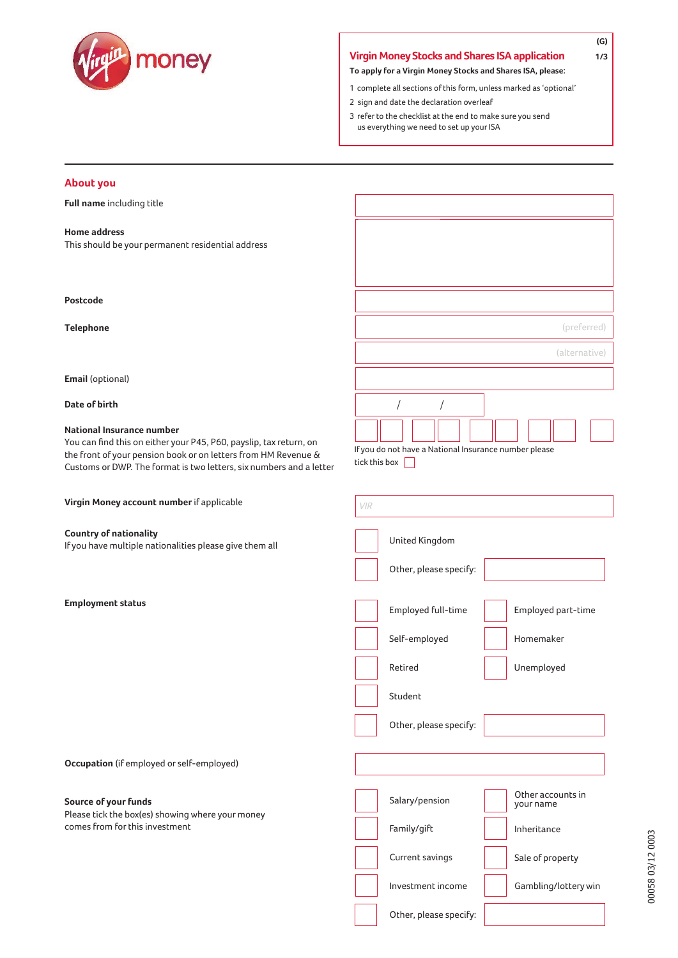

# **Virgin Money Stocks and Shares ISAapplication 1/3**

**To apply for a Virgin Money Stocks and Shares ISA, please:**

- 1 complete all sections of this form, unless marked as 'optional'
- 2 sign and date the declaration overleaf
- 3 refer to the checklist at the end to make sure you send us everything we need to set up your ISA

# **About you**

**Full name** including title

### **Home address**

This should be your permanent residential address

#### **Postcode**

**Telephone**

**Email** (optional)

**Date of birth**

#### **National Insurance number**

You can find this on either your P45, P60, payslip, tax return, on the front of your pension book or on letters from HM Revenue & Customs or DWP. The format is two letters, six numbers and a letter

**Virgin Money account number** if applicable

### **Country of nationality**

If you have multiple nationalities please give them all

**Employment status**

Employed full-time

Other, please specify:

Self-employed

Retired

Student

(preferred)

**(G)**

(alternative)

Employed part-time

Homemaker

Unemployed

**Occupation** (if employed or self-employed)

## **Source of your funds**

Please tick the box(es) showing where your money comes from for this investment

| Salary/pension         | Other accounts in<br>your name |
|------------------------|--------------------------------|
| Family/gift            | Inheritance                    |
| Current savings        | Sale of property               |
|                        |                                |
| Investment income      | Gambling/lottery win           |
| Other, please specify: |                                |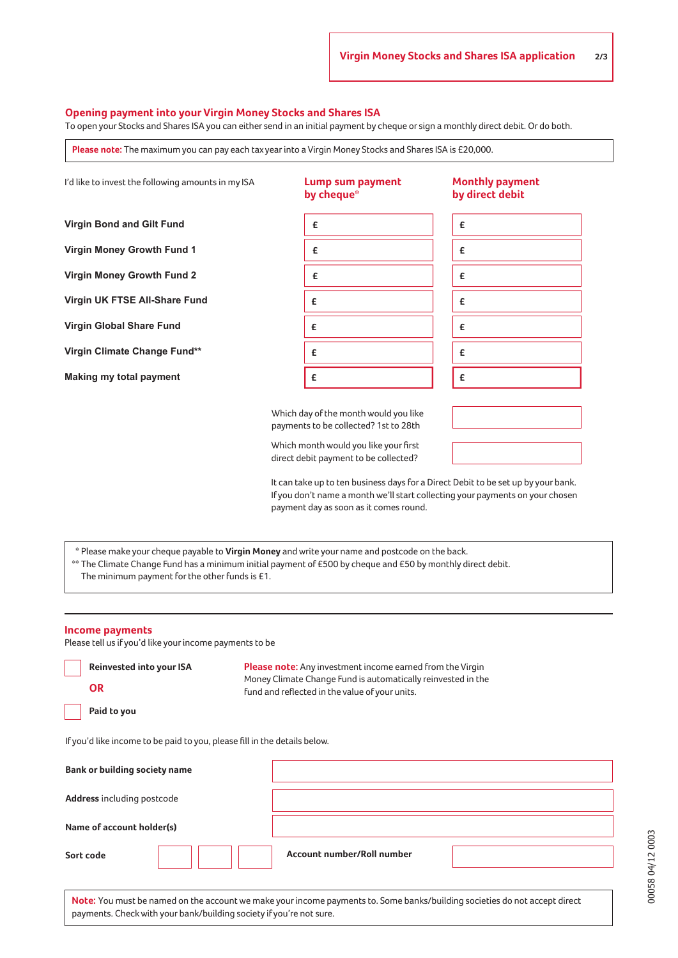### **Opening payment into your Virgin Money Stocks and Shares ISA**

To open your Stocks and Shares ISA you can either send in an initial payment by cheque or sign a monthly direct debit. Or do both.

**Please note:** The maximum you can pay each tax year into a Virgin Money Stocks and Shares ISA is £20,000.



\*\* The Climate Change Fund has a minimum initial payment of £500 by cheque and £50 by monthly direct debit.

The minimum payment for the other funds is £1.

#### **Income payments**

Please tell us if you'd like your income payments to be

payments. Check with your bank/building society if you're not sure.

| Reinvested into your ISA                                                  | <b>Please note:</b> Any investment income earned from the Virgin                                                           |
|---------------------------------------------------------------------------|----------------------------------------------------------------------------------------------------------------------------|
| <b>OR</b>                                                                 | Money Climate Change Fund is automatically reinvested in the<br>fund and reflected in the value of your units.             |
| Paid to you                                                               |                                                                                                                            |
| If you'd like income to be paid to you, please fill in the details below. |                                                                                                                            |
| <b>Bank or building society name</b>                                      |                                                                                                                            |
| Address including postcode                                                |                                                                                                                            |
| Name of account holder(s)                                                 |                                                                                                                            |
| Sort code                                                                 | <b>Account number/Roll number</b>                                                                                          |
|                                                                           | Note: You must be named on the account we make your income payments to. Some banks/building societies do not accept direct |